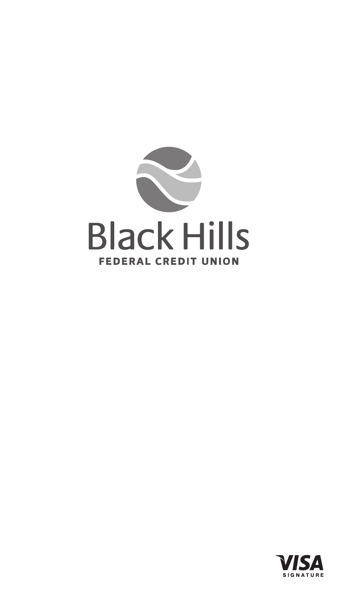

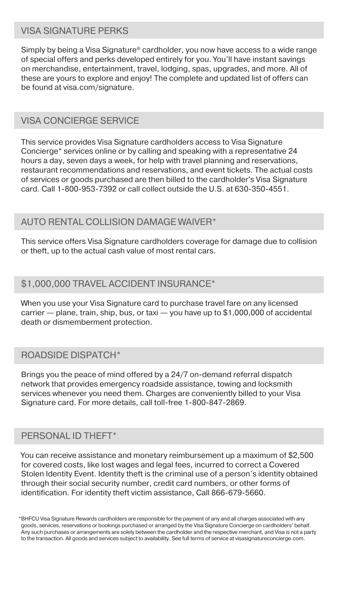## VISA SIGNATURE PERKS

Simply by being a Visa Signature® cardholder, you now have access to a wide range of special offers and perks developed entirely for you. You'll have instant savings on merchandise, entertainment, travel, lodging, spas, upgrades, and more. All of these are yours to explore and enjoy! The complete and updated list of offers can be found at visa.com/signature.

## VISA CONCIERGE SERVICE

This service provides Visa Signature cardholders access to Visa Signature Concierge\* services online or by calling and speaking with a representative 24 hours a day, seven days a week, for help with travel planning and reservations, restaurant recommendations and reservations, and event tickets. The actual costs of services or goods purchased are then billed to the cardholder's Visa Signature card. Call 1-800-953-7392 or call collect outside the U.S. at 630-350-4551.

### AUTO RENTAL COLLISION DAMAGE WAIVER\*

This service offers Visa Signature cardholders coverage for damage due to collision or theft, up to the actual cash value of most rental cars.

## \$1,000,000 TRAVEL ACCIDENT INSURANCE\*

When you use your Visa Signature card to purchase travel fare on any licensed carrier — plane, train, ship, bus, or taxi — you have up to \$1,000,000 of accidental death or dismemberment protection.

## ROADSIDE DISPATCH\*

Brings you the peace of mind offered by a 24/7 on-demand referral dispatch network that provides emergency roadside assistance, towing and locksmith services whenever you need them. Charges are conveniently billed to your Visa Signature card. For more details, call toll-free 1-800-847-2869.

## PERSONAL ID THEFT\*

You can receive assistance and monetary reimbursement up a maximum of \$2,500 for covered costs, like lost wages and legal fees, incurred to correct a Covered Stolen Identity Event. Identity theft is the criminal use of a person's identity obtained through their social security number, credit card numbers, or other forms of identification. For identity theft victim assistance, Call 866-679-5660.

BHFCU Visa Signature Rewards cardholders are responsible for the payment of any and all charges associated with any \*goods, services, reservations or bookings purchased or arranged by the Visa Signature Concierge on cardholders' behalf. Any such purchases or arrangements are solely between the cardholder and the respective merchant, and Visa is not a party to the transaction. All goods and services subject to availability. See full terms of service at visasignatureconcierge.com.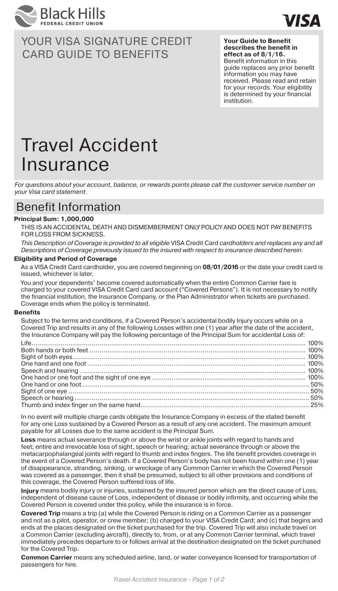



**Your Guide to Benefit describes the benefit in effect as of 8/1/16.**  Benefit information in this guide replaces any prior benefit information you may have received. Please read and retain for your records. Your eligibility is determined by your financial institution.

# Travel Accident Insurance

*For questions about your account, balance, or rewards points please call the customer service number on your Visa card statement.*

## Benefit Information

#### **Principal Sum: 1,000,000**

THIS IS AN ACCIDENTAL DEATH AND DISMEMBERMENT ONLY POLICY AND DOES NOT PAY BENEFITS FOR LOSS FROM SICKNESS.

*This Description of Coverage is provided to all eligible* VISA Credit Card *cardholders and replaces any and all Descriptions of Coverage previously issued to the insured with respect to insurance described herein.*

#### **Eligibility and Period of Coverage**

As a VISA Credit Card cardholder, you are covered beginning on **08/01/2016** or the date your credit card is issued, whichever is later.

You and your dependents<sup>1</sup> become covered automatically when the entire Common Carrier fare is charged to your covered VISA Credit Card card account ("Covered Persons"). It is not necessary to notify the financial institution, the Insurance Company, or the Plan Administrator when tickets are purchased. Coverage ends when the policy is terminated.

#### **Benefits**

Subject to the terms and conditions, if a Covered Person's accidental bodily Injury occurs while on a Covered Trip and results in any of the following Losses within one (1) year after the date of the accident, the Insurance Company will pay the following percentage of the Principal Sum for accidental Loss of:

In no event will multiple charge cards obligate the Insurance Company in excess of the stated benefit for any one Loss sustained by a Covered Person as a result of any one accident. The maximum amount payable for all Losses due to the same accident is the Principal Sum.

**Loss** means actual severance through or above the wrist or ankle joints with regard to hands and feet; entire and irrevocable loss of sight, speech or hearing; actual severance through or above the metacarpophalangeal joints with regard to thumb and index fingers. The life benefit provides coverage in the event of a Covered Person's death. If a Covered Person's body has not been found within one (1) year of disappearance, stranding, sinking, or wreckage of any Common Carrier in which the Covered Person was covered as a passenger, then it shall be presumed, subject to all other provisions and conditions of this coverage, the Covered Person suffered loss of life.

**Injury** means bodily injury or injuries, sustained by the insured person which are the direct cause of Loss, independent of disease cause of Loss, independent of disease or bodily infirmity, and occurring while the Covered Person is covered under this policy, while the insurance is in force.

**Covered Trip** means a trip (a) while the Covered Person is riding on a Common Carrier as a passenger and not as a pilot, operator, or crew member; (b) charged to your VISA Credit Card; and (c) that begins and ends at the places designated on the ticket purchased for the trip. Covered Trip will also include travel on a Common Carrier (excluding aircraft), directly to, from, or at any Common Carrier terminal, which travel immediately precedes departure to or follows arrival at the destination designated on the ticket purchased for the Covered Trip.

**Common Carrier** means any scheduled airline, land, or water conveyance licensed for transportation of passengers for hire.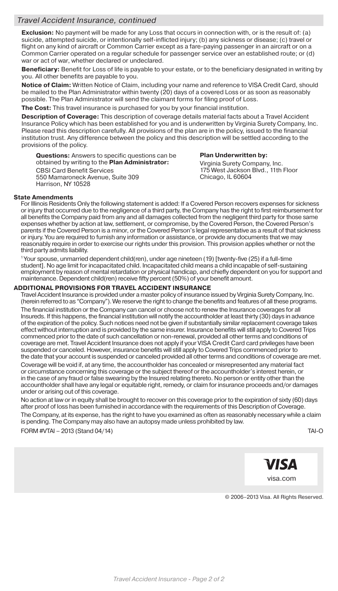#### *Travel Accident Insurance, continued*

**Exclusion:** No payment will be made for any Loss that occurs in connection with, or is the result of: (a) suicide, attempted suicide, or intentionally self-inflicted injury; (b) any sickness or disease; (c) travel or flight on any kind of aircraft or Common Carrier except as a fare-paying passenger in an aircraft or on a Common Carrier operated on a regular schedule for passenger service over an established route; or (d) war or act of war, whether declared or undeclared.

**Beneficiary:** Benefit for Loss of life is payable to your estate, or to the beneficiary designated in writing by you. All other benefits are payable to you.

**Notice of Claim:** Written Notice of Claim, including your name and reference to VISA Credit Card, should be mailed to the Plan Administrator within twenty (20) days of a covered Loss or as soon as reasonably possible. The Plan Administrator will send the claimant forms for filing proof of Loss.

**The Cost:** This travel insurance is purchased for you by your financial institution.

**Description of Coverage:** This description of coverage details material facts about a Travel Accident Insurance Policy which has been established for you and is underwritten by Virginia Surety Company, Inc. Please read this description carefully. All provisions of the plan are in the policy, issued to the financial institution trust. Any difference between the policy and this description will be settled according to the provisions of the policy.

**Questions:** Answers to specific questions can be obtained by writing to the **Plan Administrator:** CBSI Card Benefit Services 550 Mamaroneck Avenue, Suite 309 Harrison, NY 10528

#### **Plan Underwritten by:**

Virginia Surety Company, Inc. 175 West Jackson Blvd., 11th Floor Chicago, IL 60604

#### **State Amendments**

For Illinois Residents Only the following statement is added: If a Covered Person recovers expenses for sickness or injury that occurred due to the negligence of a third party, the Company has the right to first reimbursement for all benefits the Company paid from any and all damages collected from the negligent third party for those same expenses whether by action at law, settlement, or compromise, by the Covered Person, the Covered Person's parents if the Covered Person is a minor, or the Covered Person's legal representative as a result of that sickness or injury. You are required to furnish any information or assistance, or provide any documents that we may reasonably require in order to exercise our rights under this provision. This provision applies whether or not the third party admits liability.

1 Your spouse, unmarried dependent child(ren), under age nineteen (19) [twenty-five (25) if a full-time student]. No age limit for incapacitated child. Incapacitated child means a child incapable of self-sustaining employment by reason of mental retardation or physical handicap, and chiefly dependent on you for support and maintenance. Dependent child(ren) receive fifty percent (50%) of your benefit amount.

#### **ADDITIONAL PROVISIONS FOR TRAVEL ACCIDENT INSURANCE**

Travel Accident Insurance is provided under a master policy of insurance issued by Virginia Surety Company, Inc. (herein referred to as "Company"). We reserve the right to change the benefits and features of all these programs. The financial institution or the Company can cancel or choose not to renew the Insurance coverages for all Insureds. If this happens, the financial institution will notify the accountholder at least thirty (30) days in advance of the expiration of the policy. Such notices need not be given if substantially similar replacement coverage takes effect without interruption and is provided by the same insurer. Insurance benefits will still apply to Covered Trips commenced prior to the date of such cancellation or non-renewal, provided all other terms and conditions of coverage are met. Travel Accident Insurance does not apply if your VISA Credit Card card privileges have been suspended or canceled. However, insurance benefits will still apply to Covered Trips commenced prior to the date that your account is suspended or canceled provided all other terms and conditions of coverage are met.

Coverage will be void if, at any time, the accountholder has concealed or misrepresented any material fact or circumstance concerning this coverage or the subject thereof or the accountholder's interest herein, or in the case of any fraud or false swearing by the Insured relating thereto. No person or entity other than the accountholder shall have any legal or equitable right, remedy, or claim for insurance proceeds and/or damages under or arising out of this coverage.

No action at law or in equity shall be brought to recover on this coverage prior to the expiration of sixty (60) days after proof of loss has been furnished in accordance with the requirements of this Description of Coverage. The Company, at its expense, has the right to have you examined as often as reasonably necessary while a claim is pending. The Company may also have an autopsy made unless prohibited by law.

FORM #VTAI – 2013 (Stand 04/14) TAI-O

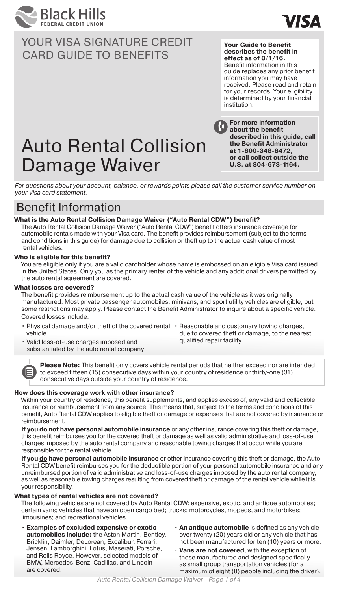



**Your Guide to Benefit describes the benefit in effect as of 8/1/16.**  Benefit information in this guide replaces any prior benefit information you may have received. Please read and retain for your records. Your eligibility is determined by your financial institution.

# Auto Rental Collision Damage Waiver

**For more information about the benefit described in this guide, call the Benefit Administrator at 1-800-348-8472, or call collect outside the U.S. at 804-673-1164.**

*For questions about your account, balance, or rewards points please call the customer service number on your Visa card statement.*

## Benefit Information

#### **What is the Auto Rental Collision Damage Waiver ("Auto Rental CDW") benefit?**

The Auto Rental Collision Damage Waiver ("Auto Rental CDW") benefit offers insurance coverage for automobile rentals made with your Visa card. The benefit provides reimbursement (subject to the terms and conditions in this guide) for damage due to collision or theft up to the actual cash value of most rental vehicles.

#### **Who is eligible for this benefit?**

You are eligible only if you are a valid cardholder whose name is embossed on an eligible Visa card issued in the United States. Only you as the primary renter of the vehicle and any additional drivers permitted by the auto rental agreement are covered.

#### **What losses are covered?**

狟

The benefit provides reimbursement up to the actual cash value of the vehicle as it was originally manufactured. Most private passenger automobiles, minivans, and sport utility vehicles are eligible, but some restrictions may apply. Please contact the Benefit Administrator to inquire about a specific vehicle. Covered losses include:

- Physical damage and/or theft of the covered rental Reasonable and customary towing charges, vehicle
	- due to covered theft or damage, to the nearest qualified repair facility
- Valid loss-of-use charges imposed and substantiated by the auto rental company

**Please Note:** This benefit only covers vehicle rental periods that neither exceed nor are intended to exceed fifteen (15) consecutive days within your country of residence or thirty-one (31) consecutive days outside your country of residence.

#### **How does this coverage work with other insurance?**

Within your country of residence, this benefit supplements, and applies excess of, any valid and collectible insurance or reimbursement from any source. This means that, subject to the terms and conditions of this benefit, Auto Rental CDW applies to eligible theft or damage or expenses that are not covered by insurance or reimbursement.

**If you do not have personal automobile insurance** or any other insurance covering this theft or damage, this benefit reimburses you for the covered theft or damage as well as valid administrative and loss-of-use charges imposed by the auto rental company and reasonable towing charges that occur while you are responsible for the rental vehicle.

**If you do have personal automobile insurance** or other insurance covering this theft or damage, the Auto Rental CDW benefit reimburses you for the deductible portion of your personal automobile insurance and any unreimbursed portion of valid administrative and loss-of-use charges imposed by the auto rental company, as well as reasonable towing charges resulting from covered theft or damage of the rental vehicle while it is your responsibility.

#### **What types of rental vehicles are not covered?**

The following vehicles are not covered by Auto Rental CDW: expensive, exotic, and antique automobiles; certain vans; vehicles that have an open cargo bed; trucks; motorcycles, mopeds, and motorbikes; limousines; and recreational vehicles.

- **Examples of excluded expensive or exotic automobiles include:** the Aston Martin, Bentley, Bricklin, Daimler, DeLorean, Excalibur, Ferrari, Jensen, Lamborghini, Lotus, Maserati, Porsche, and Rolls Royce. However, selected models of BMW, Mercedes-Benz, Cadillac, and Lincoln are covered.
- **An antique automobile** is defined as any vehicle over twenty (20) years old or any vehicle that has not been manufactured for ten (10) years or more.
- **Vans are not covered**, with the exception of those manufactured and designed specifically as small group transportation vehicles (for a maximum of eight (8) people including the driver).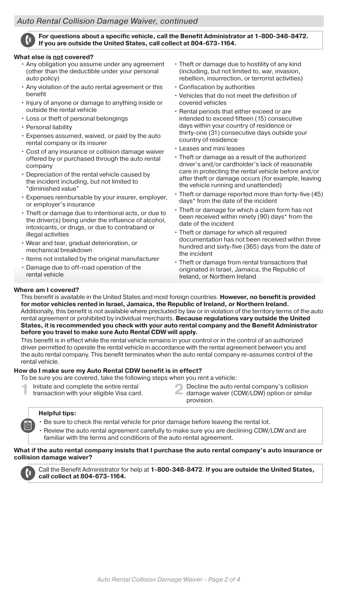### *Auto Rental Collision Damage Waiver, continued*



#### **For questions about a specific vehicle, call the Benefit Administrator at 1-800-348-8472. If you are outside the United States, call collect at 804-673-1164.**

#### **What else is not covered?**

- Any obligation you assume under any agreement (other than the deductible under your personal auto policy)
- Any violation of the auto rental agreement or this benefit
- Injury of anyone or damage to anything inside or outside the rental vehicle
- Loss or theft of personal belongings
- Personal liability
- Expenses assumed, waived, or paid by the auto rental company or its insurer
- Cost of any insurance or collision damage waiver offered by or purchased through the auto rental company
- Depreciation of the rental vehicle caused by the incident including, but not limited to "diminished value"
- Expenses reimbursable by your insurer, employer, or employer's insurance
- Theft or damage due to intentional acts, or due to the driver(s) being under the influence of alcohol, intoxicants, or drugs, or due to contraband or illegal activities
- Wear and tear, gradual deterioration, or mechanical breakdown
- Items not installed by the original manufacturer
- Damage due to off-road operation of the rental vehicle
- Theft or damage due to hostility of any kind (including, but not limited to, war, invasion, rebellion, insurrection, or terrorist activities)
- Confiscation by authorities
- Vehicles that do not meet the definition of covered vehicles
- Rental periods that either exceed or are intended to exceed fifteen (15) consecutive days within your country of residence or thirty-one (31) consecutive days outside your country of residence
- Leases and mini leases
- Theft or damage as a result of the authorized driver's and/or cardholder's lack of reasonable care in protecting the rental vehicle before and/or after theft or damage occurs (for example, leaving the vehicle running and unattended)
- Theft or damage reported more than forty-five (45) days\* from the date of the incident
- Theft or damage for which a claim form has not been received within ninety (90) days\* from the date of the incident
- Theft or damage for which all required documentation has not been received within three hundred and sixty-five (365) days from the date of the incident
- Theft or damage from rental transactions that originated in Israel, Jamaica, the Republic of Ireland, or Northern Ireland

#### **Where am I covered?**

This benefit is available in the United States and most foreign countries. **However, no benefit is provided for motor vehicles rented in Israel, Jamaica, the Republic of Ireland, or Northern Ireland.** Additionally, this benefit is not available where precluded by law or in violation of the territory terms of the auto rental agreement or prohibited by individual merchants. **Because regulations vary outside the United States, it is recommended you check with your auto rental company and the Benefit Administrator before you travel to make sure Auto Rental CDW will apply.**

This benefit is in effect while the rental vehicle remains in your control or in the control of an authorized driver permitted to operate the rental vehicle in accordance with the rental agreement between you and the auto rental company. This benefit terminates when the auto rental company re-assumes control of the rental vehicle.

#### **How do I make sure my Auto Rental CDW benefit is in effect?**

To be sure you are covered, take the following steps when you rent a vehicle:

- Initiate and complete the entire rental
- transaction with your eligible Visa card.
- **1** Initiate and complete the entire rental **2** Decline the auto rental company's collision transaction with your eligible Visa card. provision.

#### **Helpful tips:**

- Be sure to check the rental vehicle for prior damage before leaving the rental lot.
- Review the auto rental agreement carefully to make sure you are declining CDW/LDW and are familiar with the terms and conditions of the auto rental agreement.

#### **What if the auto rental company insists that I purchase the auto rental company's auto insurance or collision damage waiver?**



Call the Benefit Administrator for help at **1-800-348-8472**. **If you are outside the United States, call collect at 804-673-1164.**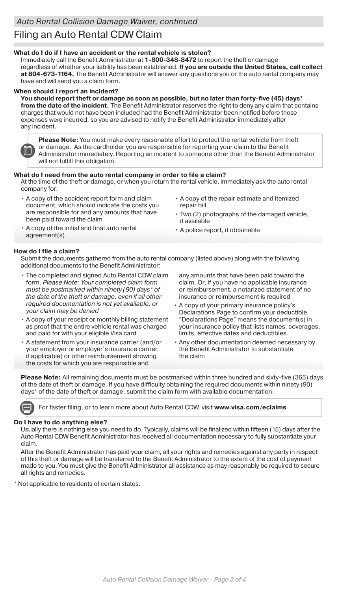# Filing an Auto Rental CDW Claim

#### **What do I do if I have an accident or the rental vehicle is stolen?**

Immediately call the Benefit Administrator at **1-800-348-8472** to report the theft or damage regardless of whether your liability has been established. **If you are outside the United States, call collect at 804-673-1164.** The Benefit Administrator will answer any questions you or the auto rental company may have and will send you a claim form.

#### **When should I report an incident?**

**You should report theft or damage as soon as possible, but no later than forty-five (45) days\* from the date of the incident.** The Benefit Administrator reserves the right to deny any claim that contains charges that would not have been included had the Benefit Administrator been notified before those expenses were incurred, so you are advised to notify the Benefit Administrator immediately after any incident.

**Please Note:** You must make every reasonable effort to protect the rental vehicle from theft or damage. As the cardholder you are responsible for reporting your claim to the Benefit Administrator immediately. Reporting an incident to someone other than the Benefit Administrator will not fulfill this obligation.

#### **What do I need from the auto rental company in order to file a claim?**

At the time of the theft or damage, or when you return the rental vehicle, immediately ask the auto rental company for:

- A copy of the accident report form and claim document, which should indicate the costs you are responsible for and any amounts that have been paid toward the claim
- A copy of the repair estimate and itemized repair bill
- Two (2) photographs of the damaged vehicle, if available
- A copy of the initial and final auto rental agreement(s)
- A police report, if obtainable

#### **How do I file a claim?**

Submit the documents gathered from the auto rental company (listed above) along with the following additional documents to the Benefit Administrator:

- The completed and signed Auto Rental CDW claim form. *Please Note: Your completed claim form must be postmarked within ninety (90) days\* of the date of the theft or damage, even if all other required documentation is not yet available, or your claim may be denied*
- A copy of your receipt or monthly billing statement as proof that the entire vehicle rental was charged and paid for with your eligible Visa card
- A statement from your insurance carrier (and/or your employer or employer's insurance carrier, if applicable) or other reimbursement showing the costs for which you are responsible and

any amounts that have been paid toward the claim. Or, if you have no applicable insurance or reimbursement, a notarized statement of no insurance or reimbursement is required

- A copy of your primary insurance policy's Declarations Page to confirm your deductible. "Declarations Page" means the document(s) in your insurance policy that lists names, coverages, limits, effective dates and deductibles.
- Any other documentation deemed necessary by the Benefit Administrator to substantiate the claim

**Please Note:** All remaining documents must be postmarked within three hundred and sixty-five (365) days of the date of theft or damage. If you have difficulty obtaining the required documents within ninety (90) days\* of the date of theft or damage, submit the claim form with available documentation.

For faster filing, or to learn more about Auto Rental CDW, visit **www.visa.com/eclaims**

#### **Do I have to do anything else?**

Usually there is nothing else you need to do. Typically, claims will be finalized within fifteen (15) days after the Auto Rental CDW Benefit Administrator has received all documentation necessary to fully substantiate your claim.

After the Benefit Administrator has paid your claim, all your rights and remedies against any party in respect of this theft or damage will be transferred to the Benefit Administrator to the extent of the cost of payment made to you. You must give the Benefit Administrator all assistance as may reasonably be required to secure all rights and remedies.

\* Not applicable to residents of certain states.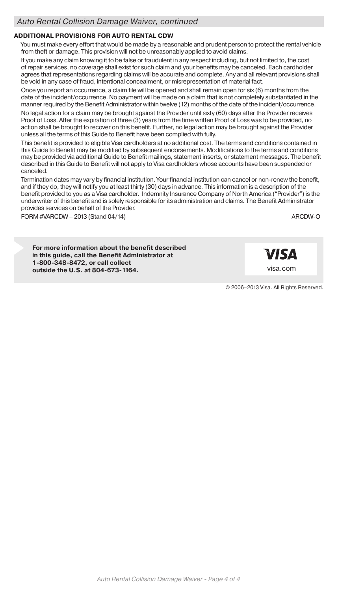### **ADDITIONAL PROVISIONS FOR AUTO RENTAL CDW**

You must make every effort that would be made by a reasonable and prudent person to protect the rental vehicle from theft or damage. This provision will not be unreasonably applied to avoid claims.

If you make any claim knowing it to be false or fraudulent in any respect including, but not limited to, the cost of repair services, no coverage shall exist for such claim and your benefits may be canceled. Each cardholder agrees that representations regarding claims will be accurate and complete. Any and all relevant provisions shall be void in any case of fraud, intentional concealment, or misrepresentation of material fact.

Once you report an occurrence, a claim file will be opened and shall remain open for six (6) months from the date of the incident/occurrence. No payment will be made on a claim that is not completely substantiated in the manner required by the Benefit Administrator within twelve (12) months of the date of the incident/occurrence.

No legal action for a claim may be brought against the Provider until sixty (60) days after the Provider receives Proof of Loss. After the expiration of three (3) years from the time written Proof of Loss was to be provided, no action shall be brought to recover on this benefit. Further, no legal action may be brought against the Provider unless all the terms of this Guide to Benefit have been complied with fully.

This benefit is provided to eligible Visa cardholders at no additional cost. The terms and conditions contained in this Guide to Benefit may be modified by subsequent endorsements. Modifications to the terms and conditions may be provided via additional Guide to Benefit mailings, statement inserts, or statement messages. The benefit described in this Guide to Benefit will not apply to Visa cardholders whose accounts have been suspended or canceled.

Termination dates may vary by financial institution. Your financial institution can cancel or non-renew the benefit, and if they do, they will notify you at least thirty (30) days in advance. This information is a description of the benefit provided to you as a Visa cardholder. Indemnity Insurance Company of North America ("Provider") is the underwriter of this benefit and is solely responsible for its administration and claims. The Benefit Administrator provides services on behalf of the Provider.

FORM #VARCDW – 2013 (Stand 04/14) ARCDW-O ARCDW-O

**For more information about the benefit described in this guide, call the Benefit Administrator at 1-800-348-8472, or call collect outside the U.S. at 804-673-1164.**

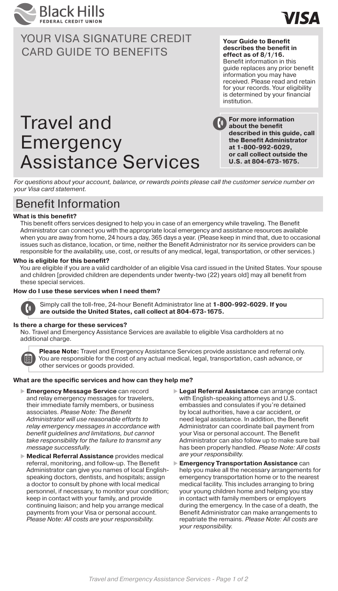

**Your Guide to Benefit describes the benefit in effect as of 8/1/16.**  Benefit information in this guide replaces any prior benefit information you may have received. Please read and retain for your records. Your eligibility is determined by your financial institution.

VISΔ

# Travel and **Emergency** Assistance Services

**For more information about the benefit described in this guide, call the Benefit Administrator at 1-800-992-6029, or call collect outside the U.S. at 804-673-1675.**

*For questions about your account, balance, or rewards points please call the customer service number on your Visa card statement.*

## Benefit Information

#### **What is this benefit?**

This benefit offers services designed to help you in case of an emergency while traveling. The Benefit Administrator can connect you with the appropriate local emergency and assistance resources available when you are away from home, 24 hours a day, 365 days a year. (Please keep in mind that, due to occasional issues such as distance, location, or time, neither the Benefit Administrator nor its service providers can be responsible for the availability, use, cost, or results of any medical, legal, transportation, or other services.)

#### **Who is eligible for this benefit?**

You are eligible if you are a valid cardholder of an eligible Visa card issued in the United States. Your spouse and children [provided children are dependents under twenty-two (22) years old] may all benefit from these special services.

#### **How do I use these services when I need them?**



Simply call the toll-free, 24-hour Benefit Administrator line at **1-800-992-6029. If you are outside the United States, call collect at 804-673-1675.**

#### **Is there a charge for these services?**

No. Travel and Emergency Assistance Services are available to eligible Visa cardholders at no additional charge.



**Please Note:** Travel and Emergency Assistance Services provide assistance and referral only. You are responsible for the cost of any actual medical, legal, transportation, cash advance, or other services or goods provided.

#### **What are the specific services and how can they help me?**

- **Emergency Message Service** can record and relay emergency messages for travelers, their immediate family members, or business associates. *Please Note: The Benefit Administrator will use reasonable efforts to relay emergency messages in accordance with benefit guidelines and limitations, but cannot take responsibility for the failure to transmit any message successfully.*
- **Medical Referral Assistance** provides medical referral, monitoring, and follow-up. The Benefit Administrator can give you names of local Englishspeaking doctors, dentists, and hospitals; assign a doctor to consult by phone with local medical personnel, if necessary, to monitor your condition; keep in contact with your family, and provide continuing liaison; and help you arrange medical payments from your Visa or personal account. *Please Note: All costs are your responsibility.*
- **Legal Referral Assistance** can arrange contact with English-speaking attorneys and U.S. embassies and consulates if you're detained by local authorities, have a car accident, or need legal assistance. In addition, the Benefit Administrator can coordinate bail payment from your Visa or personal account. The Benefit Administrator can also follow up to make sure bail has been properly handled. *Please Note: All costs are your responsibility.*
- **Emergency Transportation Assistance** can help you make all the necessary arrangements for emergency transportation home or to the nearest medical facility. This includes arranging to bring your young children home and helping you stay in contact with family members or employers during the emergency. In the case of a death, the Benefit Administrator can make arrangements to repatriate the remains. *Please Note: All costs are your responsibility.*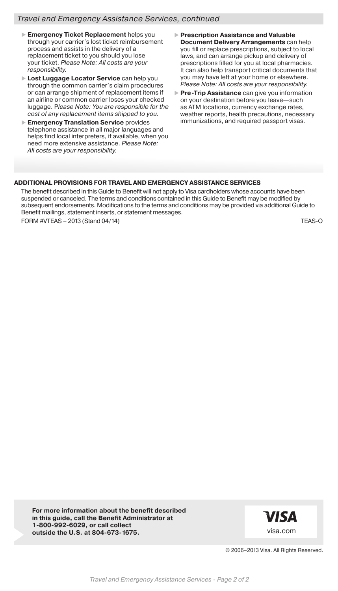#### *Travel and Emergency Assistance Services, continued*

- **Emergency Ticket Replacement** helps you through your carrier's lost ticket reimbursement process and assists in the delivery of a replacement ticket to you should you lose your ticket. *Please Note: All costs are your responsibility.*
- **Lost Luggage Locator Service** can help you through the common carrier's claim procedures or can arrange shipment of replacement items if an airline or common carrier loses your checked luggage. P*lease Note: You are responsible for the cost of any replacement items shipped to you.*
- **Emergency Translation Service** provides telephone assistance in all major languages and helps find local interpreters, if available, when you need more extensive assistance. *Please Note: All costs are your responsibility.*
- **Prescription Assistance and Valuable Document Delivery Arrangements** can help you fill or replace prescriptions, subject to local laws, and can arrange pickup and delivery of prescriptions filled for you at local pharmacies. It can also help transport critical documents that you may have left at your home or elsewhere. *Please Note: All costs are your responsibility.*
- **Pre-Trip Assistance** can give you information on your destination before you leave—such as ATM locations, currency exchange rates, weather reports, health precautions, necessary immunizations, and required passport visas.

#### **ADDITIONAL PROVISIONS FOR TRAVEL AND EMERGENCY ASSISTANCE SERVICES**

The benefit described in this Guide to Benefit will not apply to Visa cardholders whose accounts have been suspended or canceled. The terms and conditions contained in this Guide to Benefit may be modified by subsequent endorsements. Modifications to the terms and conditions may be provided via additional Guide to Benefit mailings, statement inserts, or statement messages.

FORM #VTEAS – 2013 (Stand 04/14) TEAS-O

**For more information about the benefit described in this guide, call the Benefit Administrator at 1-800-992-6029, or call collect outside the U.S. at 804-673-1675.**

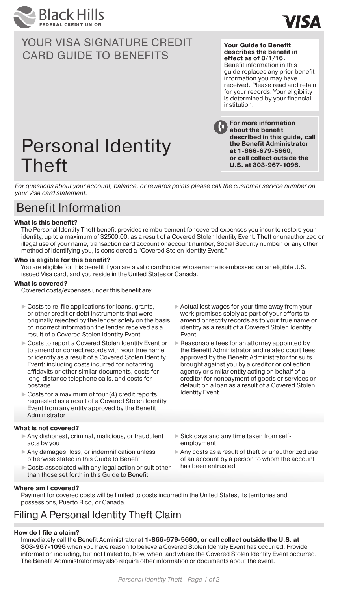



**Your Guide to Benefit describes the benefit in effect as of 8/1/16.**  Benefit information in this guide replaces any prior benefit information you may have received. Please read and retain for your records. Your eligibility is determined by your financial institution.

**For more information about the benefit** 

**described in this guide, call the Benefit Administrator at 1-866-679-5660, or call collect outside the U.S. at 303-967-1096.**

# Personal Identity Theft

*For questions about your account, balance, or rewards points please call the customer service number on your Visa card statement.*

## Benefit Information

#### **What is this benefit?**

The Personal Identity Theft benefit provides reimbursement for covered expenses you incur to restore your identity, up to a maximum of \$2500.00, as a result of a Covered Stolen Identity Event. Theft or unauthorized or illegal use of your name, transaction card account or account number, Social Security number, or any other method of identifying you, is considered a "Covered Stolen Identity Event."

#### **Who is eligible for this benefit?**

You are eligible for this benefit if you are a valid cardholder whose name is embossed on an eligible U.S. issued Visa card, and you reside in the United States or Canada.

#### **What is covered?**

Covered costs/expenses under this benefit are:

- $\triangleright$  Costs to re-file applications for loans, grants, or other credit or debt instruments that were originally rejected by the lender solely on the basis of incorrect information the lender received as a result of a Covered Stolen Identity Event
- Costs to report a Covered Stolen Identity Event or to amend or correct records with your true name or identity as a result of a Covered Stolen Identity Event: including costs incurred for notarizing affidavits or other similar documents, costs for long-distance telephone calls, and costs for postage
- Costs for a maximum of four (4) credit reports requested as a result of a Covered Stolen Identity Event from any entity approved by the Benefit Administrator

#### **What is not covered?**

- Any dishonest, criminal, malicious, or fraudulent acts by you
- Any damages, loss, or indemnification unless otherwise stated in this Guide to Benefit
- Costs associated with any legal action or suit other than those set forth in this Guide to Benefit

#### **Where am I covered?**

 Actual lost wages for your time away from your work premises solely as part of your efforts to amend or rectify records as to your true name or identity as a result of a Covered Stolen Identity Event

- Reasonable fees for an attorney appointed by the Benefit Administrator and related court fees approved by the Benefit Administrator for suits brought against you by a creditor or collection agency or similar entity acting on behalf of a creditor for nonpayment of goods or services or default on a loan as a result of a Covered Stolen Identity Event
- Sick days and any time taken from selfemployment
- Any costs as a result of theft or unauthorized use of an account by a person to whom the account has been entrusted

Payment for covered costs will be limited to costs incurred in the United States, its territories and possessions, Puerto Rico, or Canada.

## Filing A Personal Identity Theft Claim

#### **How do I file a claim?**

Immediately call the Benefit Administrator at **1-866-679-5660, or call collect outside the U.S. at 303-967-1096** when you have reason to believe a Covered Stolen Identity Event has occurred. Provide information including, but not limited to, how, when, and where the Covered Stolen Identity Event occurred. The Benefit Administrator may also require other information or documents about the event.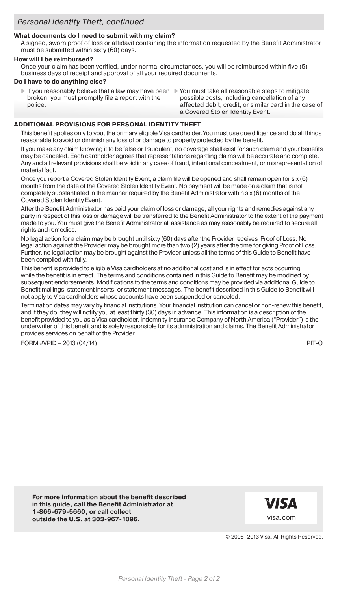#### **What documents do I need to submit with my claim?**

A signed, sworn proof of loss or affidavit containing the information requested by the Benefit Administrator must be submitted within sixty (60) days.

#### **How will I be reimbursed?**

Once your claim has been verified, under normal circumstances, you will be reimbursed within five (5) business days of receipt and approval of all your required documents.

#### **Do I have to do anything else?**

 If you reasonably believe that a law may have been You must take all reasonable steps to mitigate broken, you must promptly file a report with the police.

possible costs, including cancellation of any affected debit, credit, or similar card in the case of a Covered Stolen Identity Event.

#### **ADDITIONAL PROVISIONS FOR PERSONAL IDENTITY THEFT**

This benefit applies only to you, the primary eligible Visa cardholder. You must use due diligence and do all things reasonable to avoid or diminish any loss of or damage to property protected by the benefit.

If you make any claim knowing it to be false or fraudulent, no coverage shall exist for such claim and your benefits may be canceled. Each cardholder agrees that representations regarding claims will be accurate and complete. Any and all relevant provisions shall be void in any case of fraud, intentional concealment, or misrepresentation of material fact.

Once you report a Covered Stolen Identity Event, a claim file will be opened and shall remain open for six (6) months from the date of the Covered Stolen Identity Event. No payment will be made on a claim that is not completely substantiated in the manner required by the Benefit Administrator within six (6) months of the Covered Stolen Identity Event.

After the Benefit Administrator has paid your claim of loss or damage, all your rights and remedies against any party in respect of this loss or damage will be transferred to the Benefit Administrator to the extent of the payment made to you. You must give the Benefit Administrator all assistance as may reasonably be required to secure all rights and remedies.

No legal action for a claim may be brought until sixty (60) days after the Provider receives Proof of Loss. No legal action against the Provider may be brought more than two (2) years after the time for giving Proof of Loss. Further, no legal action may be brought against the Provider unless all the terms of this Guide to Benefit have been complied with fully.

This benefit is provided to eligible Visa cardholders at no additional cost and is in effect for acts occurring while the benefit is in effect. The terms and conditions contained in this Guide to Benefit may be modified by subsequent endorsements. Modifications to the terms and conditions may be provided via additional Guide to Benefit mailings, statement inserts, or statement messages. The benefit described in this Guide to Benefit will not apply to Visa cardholders whose accounts have been suspended or canceled.

Termination dates may vary by financial institutions. Your financial institution can cancel or non-renew this benefit, and if they do, they will notify you at least thirty (30) days in advance. This information is a description of the benefit provided to you as a Visa cardholder. Indemnity Insurance Company of North America ("Provider") is the underwriter of this benefit and is solely responsible for its administration and claims. The Benefit Administrator provides services on behalf of the Provider.

FORM #VPID – 2013 (04/14) PIT-O

**For more information about the benefit described in this guide, call the Benefit Administrator at 1-866-679-5660, or call collect outside the U.S. at 303-967-1096.**

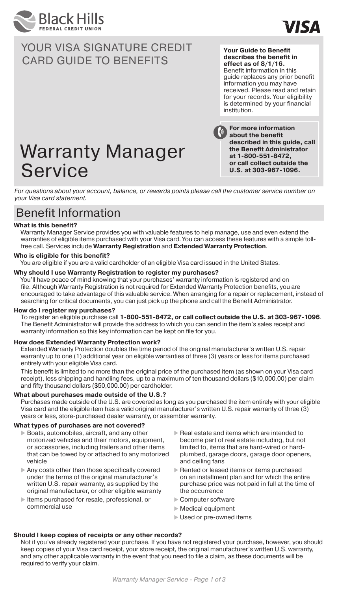



#### **Your Guide to Benefit describes the benefit in effect as of 8/1/16.**

Benefit information in this guide replaces any prior benefit information you may have received. Please read and retain for your records. Your eligibility is determined by your financial institution.

**For more information about the benefit described in this guide, call the Benefit Administrator at 1-800-551-8472, or call collect outside the U.S. at 303-967-1096.**

# Warranty Manager Service

*For questions about your account, balance, or rewards points please call the customer service number on your Visa card statement.*

## Benefit Information

#### **What is this benefit?**

Warranty Manager Service provides you with valuable features to help manage, use and even extend the warranties of eligible items purchased with your Visa card. You can access these features with a simple tollfree call. Services include **Warranty Registration** and **Extended Warranty Protection**.

#### **Who is eligible for this benefit?**

You are eligible if you are a valid cardholder of an eligible Visa card issued in the United States.

#### **Why should I use Warranty Registration to register my purchases?**

You'll have peace of mind knowing that your purchases' warranty information is registered and on file. Although Warranty Registration is not required for Extended Warranty Protection benefits, you are encouraged to take advantage of this valuable service. When arranging for a repair or replacement, instead of searching for critical documents, you can just pick up the phone and call the Benefit Administrator.

#### **How do I register my purchases?**

To register an eligible purchase call **1-800-551-8472, or call collect outside the U.S. at 303-967-1096**. The Benefit Administrator will provide the address to which you can send in the item's sales receipt and warranty information so this key information can be kept on file for you.

#### **How does Extended Warranty Protection work?**

Extended Warranty Protection doubles the time period of the original manufacturer's written U.S. repair warranty up to one (1) additional year on eligible warranties of three (3) years or less for items purchased entirely with your eligible Visa card.

This benefit is limited to no more than the original price of the purchased item (as shown on your Visa card receipt), less shipping and handling fees, up to a maximum of ten thousand dollars (\$10,000.00) per claim and fifty thousand dollars (\$50,000.00) per cardholder.

#### **What about purchases made outside of the U.S.?**

Purchases made outside of the U.S. are covered as long as you purchased the item entirely with your eligible Visa card and the eligible item has a valid original manufacturer's written U.S. repair warranty of three (3) years or less, store-purchased dealer warranty, or assembler warranty.

#### **What types of purchases are not covered?**

- ▶ Boats, automobiles, aircraft, and any other motorized vehicles and their motors, equipment, or accessories, including trailers and other items that can be towed by or attached to any motorized vehicle
- Any costs other than those specifically covered under the terms of the original manufacturer's written U.S. repair warranty, as supplied by the original manufacturer, or other eligible warranty
- $\blacktriangleright$  Items purchased for resale, professional, or commercial use
- $\blacktriangleright$  Real estate and items which are intended to become part of real estate including, but not limited to, items that are hard-wired or hardplumbed, garage doors, garage door openers, and ceiling fans
- Rented or leased items or items purchased on an installment plan and for which the entire purchase price was not paid in full at the time of the occurrence
- ▶ Computer software
- $\blacktriangleright$  Medical equipment
- ▶ Used or pre-owned items

#### **Should I keep copies of receipts or any other records?**

Not if you've already registered your purchase. If you have not registered your purchase, however, you should keep copies of your Visa card receipt, your store receipt, the original manufacturer's written U.S. warranty, and any other applicable warranty in the event that you need to file a claim, as these documents will be required to verify your claim.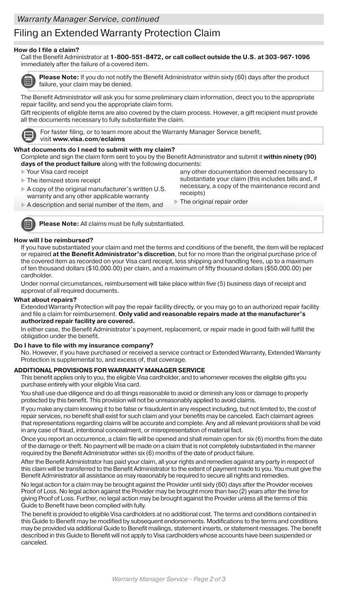## Filing an Extended Warranty Protection Claim

#### **How do I file a claim?**

Call the Benefit Administrator at **1-800-551-8472, or call collect outside the U.S. at 303-967-1096**  immediately after the failure of a covered item.



**Please Note:** If you do not notify the Benefit Administrator within sixty (60) days after the product failure, your claim may be denied.

The Benefit Administrator will ask you for some preliminary claim information, direct you to the appropriate repair facility, and send you the appropriate claim form.

Gift recipients of eligible items are also covered by the claim process. However, a gift recipient must provide all the documents necessary to fully substantiate the claim.



For faster filing, or to learn more about the Warranty Manager Service benefit, visit **www.visa.com/eclaims**

#### **What documents do I need to submit with my claim?**

Complete and sign the claim form sent to you by the Benefit Administrator and submit it **within ninety (90) days of the product failure** along with the following documents:

- Your Visa card receipt
- The itemized store receipt
- A copy of the original manufacturer's written U.S. warranty and any other applicable warranty
- A description and serial number of the item, and

any other documentation deemed necessary to substantiate your claim (this includes bills and, if necessary, a copy of the maintenance record and receipts)

The original repair order

**Please Note:** All claims must be fully substantiated.

#### **How will I be reimbursed?**

If you have substantiated your claim and met the terms and conditions of the benefit, the item will be replaced or repaired **at the Benefit Administrator's discretion**, but for no more than the original purchase price of the covered item as recorded on your Visa card receipt, less shipping and handling fees, up to a maximum of ten thousand dollars (\$10,000.00) per claim, and a maximum of fifty thousand dollars (\$50,000.00) per cardholder.

Under normal circumstances, reimbursement will take place within five (5) business days of receipt and approval of all required documents.

#### **What about repairs?**

Extended Warranty Protection will pay the repair facility directly, or you may go to an authorized repair facility and file a claim for reimbursement. **Only valid and reasonable repairs made at the manufacturer's authorized repair facility are covered.** 

In either case, the Benefit Administrator's payment, replacement, or repair made in good faith will fulfill the obligation under the benefit.

#### **Do I have to file with my insurance company?**

No. However, if you have purchased or received a service contract or Extended Warranty, Extended Warranty Protection is supplemental to, and excess of, that coverage.

#### **ADDITIONAL PROVISIONS FOR WARRANTY MANAGER SERVICE**

This benefit applies only to you, the eligible Visa cardholder, and to whomever receives the eligible gifts you purchase entirely with your eligible Visa card.

You shall use due diligence and do all things reasonable to avoid or diminish any loss or damage to property protected by this benefit. This provision will not be unreasonably applied to avoid claims.

If you make any claim knowing it to be false or fraudulent in any respect including, but not limited to, the cost of repair services, no benefit shall exist for such claim and your benefits may be canceled. Each claimant agrees that representations regarding claims will be accurate and complete. Any and all relevant provisions shall be void in any case of fraud, intentional concealment, or misrepresentation of material fact.

Once you report an occurrence, a claim file will be opened and shall remain open for six (6) months from the date of the damage or theft. No payment will be made on a claim that is not completely substantiated in the manner required by the Benefit Administrator within six (6) months of the date of product failure.

After the Benefit Administrator has paid your claim, all your rights and remedies against any party in respect of this claim will be transferred to the Benefit Administrator to the extent of payment made to you. You must give the Benefit Administrator all assistance as may reasonably be required to secure all rights and remedies.

No legal action for a claim may be brought against the Provider until sixty (60) days after the Provider receives Proof of Loss. No legal action against the Provider may be brought more than two (2) years after the time for giving Proof of Loss. Further, no legal action may be brought against the Provider unless all the terms of this Guide to Benefit have been complied with fully.

The benefit is provided to eligible Visa cardholders at no additional cost. The terms and conditions contained in this Guide to Benefit may be modified by subsequent endorsements. Modifications to the terms and conditions may be provided via additional Guide to Benefit mailings, statement inserts, or statement messages. The benefit described in this Guide to Benefit will not apply to Visa cardholders whose accounts have been suspended or canceled.